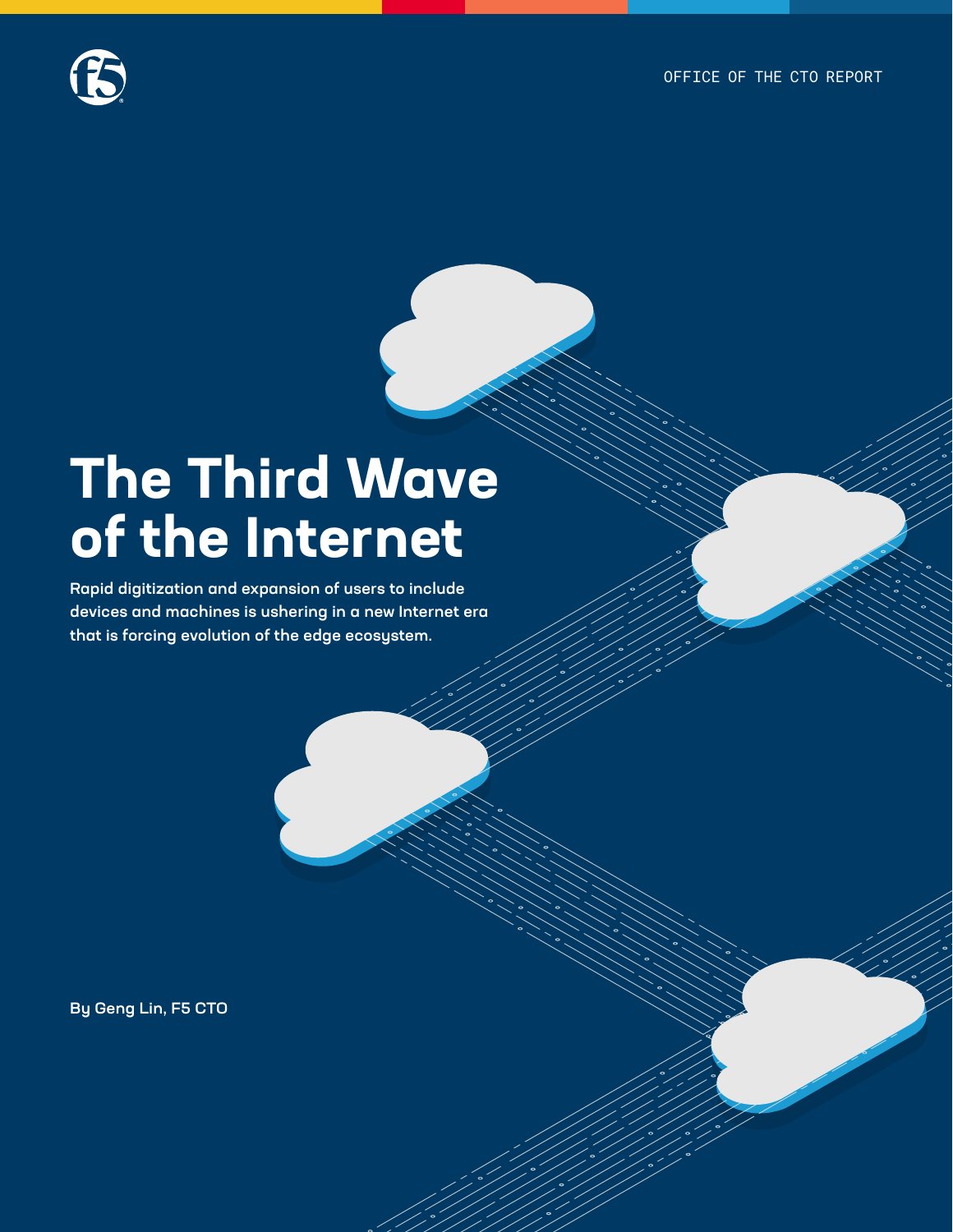

# **The Third Wave of the Internet**

Rapid digitization and expansion of users to include devices and machines is ushering in a new Internet era that is forcing evolution of the edge ecosystem.

**Continuous** 

**API Sprawl**

By Geng Lin, F5 CTO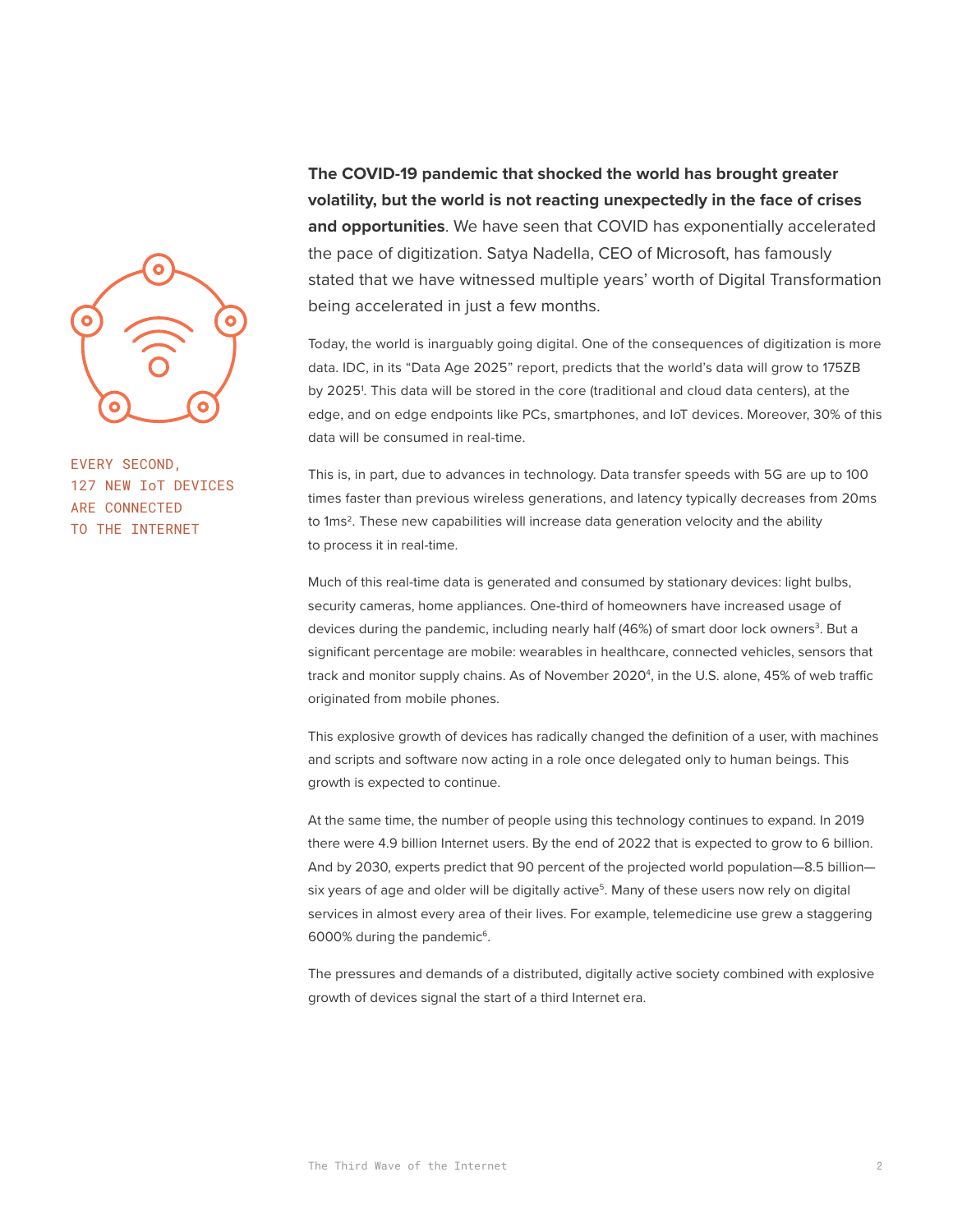

EVERY SECOND, 127 NEW IoT DEVICES ARE CONNECTED TO THE INTERNET

**The COVID-19 pandemic that shocked the world has brought greater volatility, but the world is not reacting unexpectedly in the face of crises and opportunities**. We have seen that COVID has exponentially accelerated the pace of digitization. Satya Nadella, CEO of Microsoft, has famously stated that we have witnessed multiple years' worth of Digital Transformation being accelerated in just a few months.

Today, the world is inarguably going digital. One of the consequences of digitization is more data. IDC, in its "Data Age 2025" report, predicts that the world's data will grow to 175ZB by 20251 . This data will be stored in the core (traditional and cloud data centers), at the edge, and on edge endpoints like PCs, smartphones, and IoT devices. Moreover, 30% of this data will be consumed in real-time.

This is, in part, due to advances in technology. Data transfer speeds with 5G are up to 100 times faster than previous wireless generations, and latency typically decreases from 20ms to 1ms<sup>2</sup>. These new capabilities will increase data generation velocity and the ability to process it in real-time.

Much of this real-time data is generated and consumed by stationary devices: light bulbs, security cameras, home appliances. One-third of homeowners have increased usage of devices during the pandemic, including nearly half (46%) of smart door lock owners<sup>3</sup>. But a significant percentage are mobile: wearables in healthcare, connected vehicles, sensors that track and monitor supply chains. As of November 2020<sup>4</sup>, in the U.S. alone, 45% of web traffic originated from mobile phones.

This explosive growth of devices has radically changed the definition of a user, with machines and scripts and software now acting in a role once delegated only to human beings. This growth is expected to continue.

At the same time, the number of people using this technology continues to expand. In 2019 there were 4.9 billion Internet users. By the end of 2022 that is expected to grow to 6 billion. And by 2030, experts predict that 90 percent of the projected world population—8.5 billion six years of age and older will be digitally active<sup>5</sup>. Many of these users now rely on digital services in almost every area of their lives. For example, telemedicine use grew a staggering 6000% during the pandemic<sup>6</sup>.

The pressures and demands of a distributed, digitally active society combined with explosive growth of devices signal the start of a third Internet era.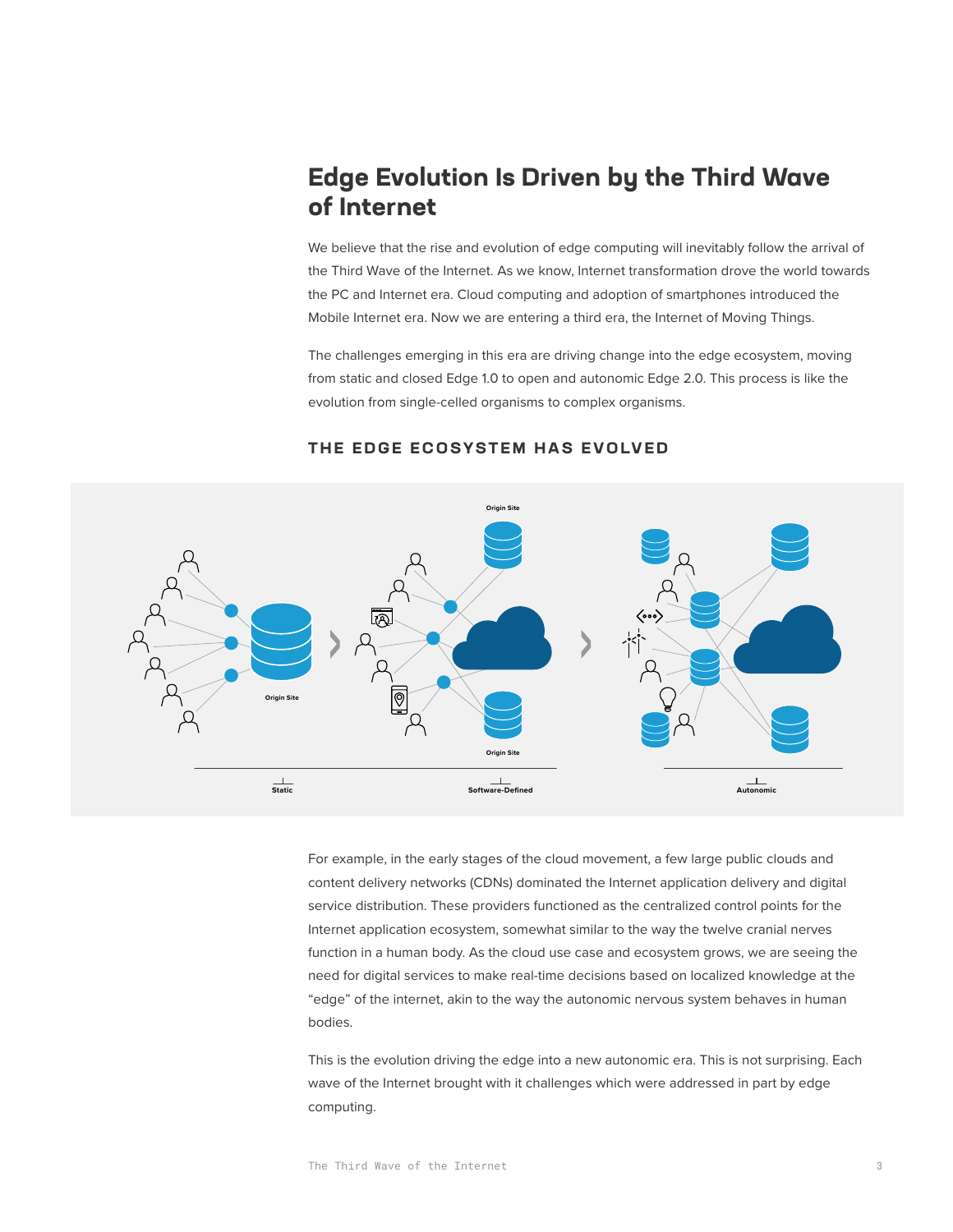# **Edge Evolution Is Driven by the Third Wave of Internet**

We believe that the rise and evolution of edge computing will inevitably follow the arrival of the Third Wave of the Internet. As we know, Internet transformation drove the world towards the PC and Internet era. Cloud computing and adoption of smartphones introduced the Mobile Internet era. Now we are entering a third era, the Internet of Moving Things.

The challenges emerging in this era are driving change into the edge ecosystem, moving from static and closed Edge 1.0 to open and autonomic Edge 2.0. This process is like the evolution from single-celled organisms to complex organisms.



## **THE EDGE ECOSYSTEM HAS EVOLVED**

For example, in the early stages of the cloud movement, a few large public clouds and content delivery networks (CDNs) dominated the Internet application delivery and digital service distribution. These providers functioned as the centralized control points for the Internet application ecosystem, somewhat similar to the way the twelve cranial nerves function in a human body. As the cloud use case and ecosystem grows, we are seeing the need for digital services to make real-time decisions based on localized knowledge at the "edge" of the internet, akin to the way the autonomic nervous system behaves in human bodies.

This is the evolution driving the edge into a new autonomic era. This is not surprising. Each wave of the Internet brought with it challenges which were addressed in part by edge computing.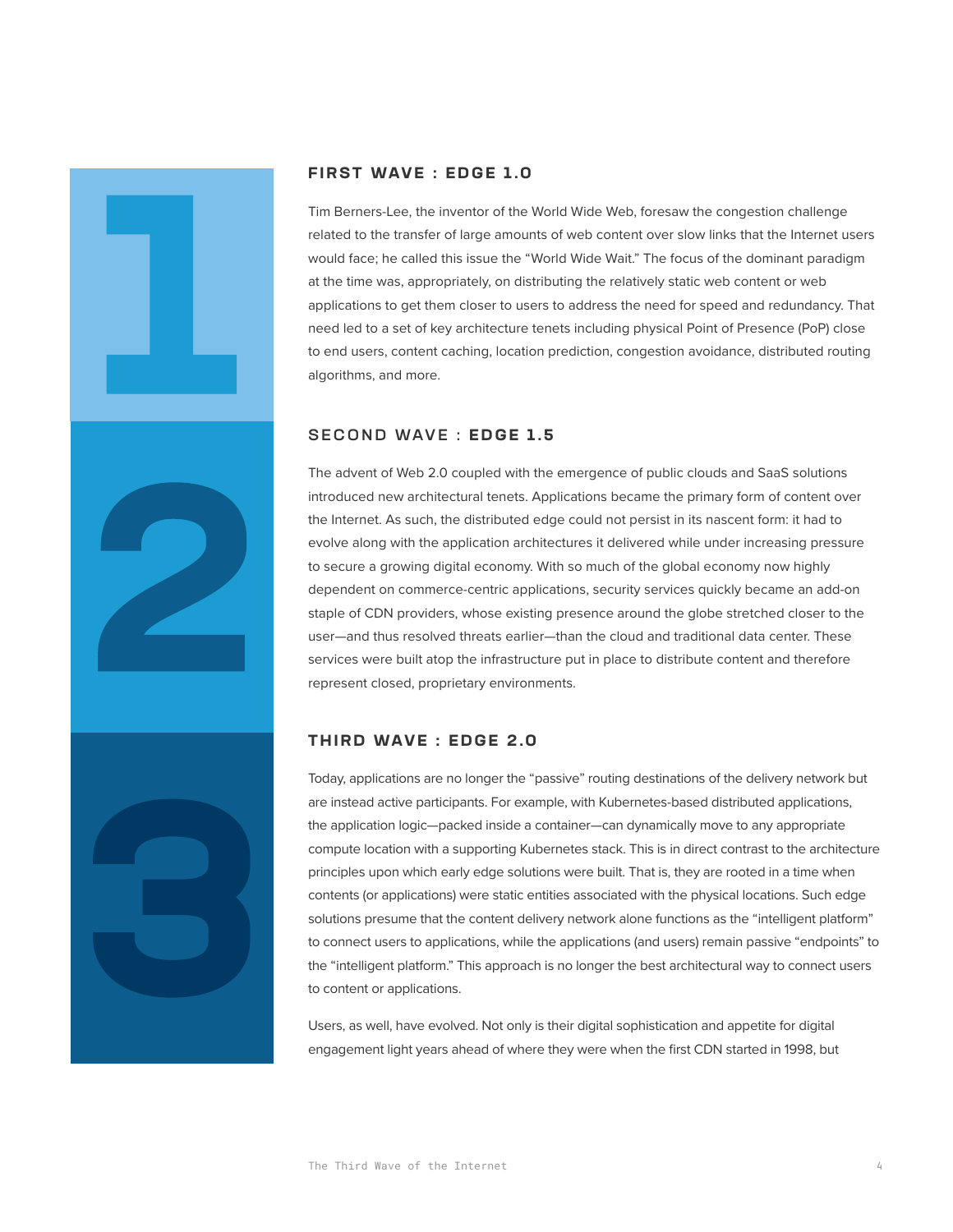

## **FIRST WAVE : EDGE 1.0**

Tim Berners-Lee, the inventor of the World Wide Web, foresaw the congestion challenge related to the transfer of large amounts of web content over slow links that the Internet users would face; he called this issue the "World Wide Wait." The focus of the dominant paradigm at the time was, appropriately, on distributing the relatively static web content or web applications to get them closer to users to address the need for speed and redundancy. That need led to a set of key architecture tenets including physical Point of Presence (PoP) close to end users, content caching, location prediction, congestion avoidance, distributed routing algorithms, and more.

## SECOND WAVE : **EDGE 1.5**

The advent of Web 2.0 coupled with the emergence of public clouds and SaaS solutions introduced new architectural tenets. Applications became the primary form of content over the Internet. As such, the distributed edge could not persist in its nascent form: it had to evolve along with the application architectures it delivered while under increasing pressure to secure a growing digital economy. With so much of the global economy now highly dependent on commerce-centric applications, security services quickly became an add-on staple of CDN providers, whose existing presence around the globe stretched closer to the user—and thus resolved threats earlier—than the cloud and traditional data center. These services were built atop the infrastructure put in place to distribute content and therefore represent closed, proprietary environments.

## **T H I R D WAV E : E D G E 2 .0**

Today, applications are no longer the "passive" routing destinations of the delivery network but are instead active participants. For example, with Kubernetes-based distributed applications, the application logic—packed inside a container—can dynamically move to any appropriate compute location with a supporting Kubernetes stack. This is in direct contrast to the architecture principles upon which early edge solutions were built. That is, they are rooted in a time when contents (or applications) were static entities associated with the physical locations. Such edge solutions presume that the content delivery network alone functions as the "intelligent platform" to connect users to applications, while the applications (and users) remain passive "endpoints" to the "intelligent platform." This approach is no longer the best architectural way to connect users to content or applications.

Users, as well, have evolved. Not only is their digital sophistication and appetite for digital engagement light years ahead of where they were when the first CDN started in 1998, but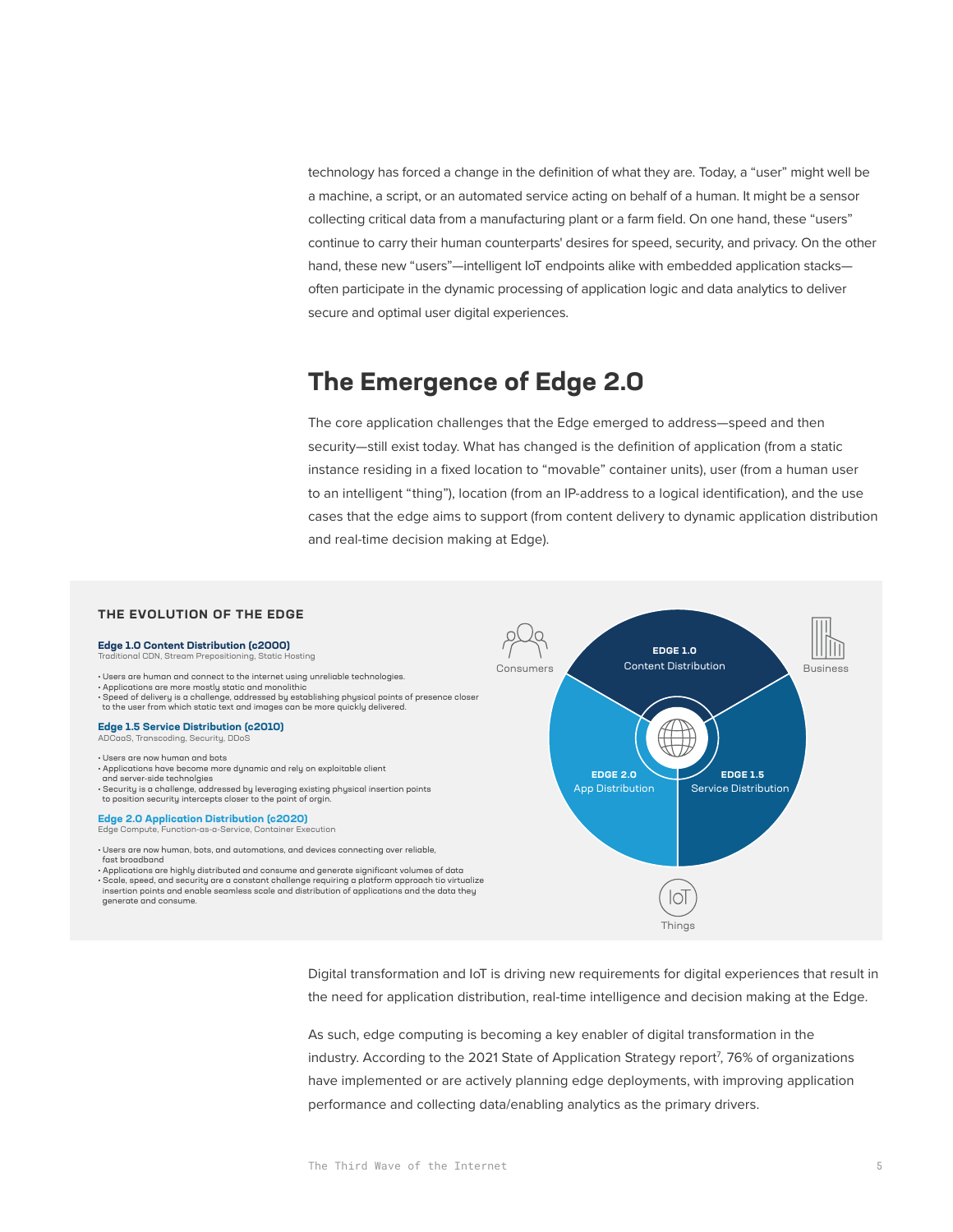technology has forced a change in the definition of what they are. Today, a "user" might well be a machine, a script, or an automated service acting on behalf of a human. It might be a sensor collecting critical data from a manufacturing plant or a farm field. On one hand, these "users" continue to carry their human counterparts' desires for speed, security, and privacy. On the other hand, these new "users"—intelligent IoT endpoints alike with embedded application stacks often participate in the dynamic processing of application logic and data analytics to deliver secure and optimal user digital experiences.

# **The Emergence of Edge 2.0**

The core application challenges that the Edge emerged to address—speed and then security—still exist today. What has changed is the definition of application (from a static instance residing in a fixed location to "movable" container units), user (from a human user to an intelligent "thing"), location (from an IP-address to a logical identification), and the use cases that the edge aims to support (from content delivery to dynamic application distribution and real-time decision making at Edge).

### **THE EVOLUTION OF THE EDGE**

#### **Edge 1.0 Content Distribution (c2000)**

Traditional Control Control Control Control<br>In CDN, Stream Prepositioning, Static Hosting

- Users are human and connect to the internet using unreliable technologies. Applications are more mostly static and monolithic
- Speed of delivery is a challenge, addressed by establishing physical points of presence closer to the user from which static text and images can be more quickly delivered.

#### **Edge 1.5 Service Distribution (c2010)** ADCaaS, Transcoding, Security, DDoS

• Users are now human and bots

- Applications have become more dynamic and rely on exploitable client
- and server-side technolgies
- Security is a challenge, addressed by leveraging existing physical insertion points to position security intercepts closer to the point of orgin.

**Edge 2.0 Application Distribution (c2020)** Edge Compute, Function-as-a-Service, Container Execution

• Users are now human, bots, and automations, and devices connecting over reliable, fast broadband

• Applications are highly distributed and consume and generate significant volumes of data • Scale, speed, and security are a constant challenge requiring a platform approach tio virtualize insertion points and enable seamless scale and distribution of applications and the data they generate and consume.



Digital transformation and IoT is driving new requirements for digital experiences that result in the need for application distribution, real-time intelligence and decision making at the Edge.

As such, edge computing is becoming a key enabler of digital transformation in the industry. According to the 2021 State of Application Strategy report<sup>7</sup>, 76% of organizations have implemented or are actively planning edge deployments, with improving application performance and collecting data/enabling analytics as the primary drivers.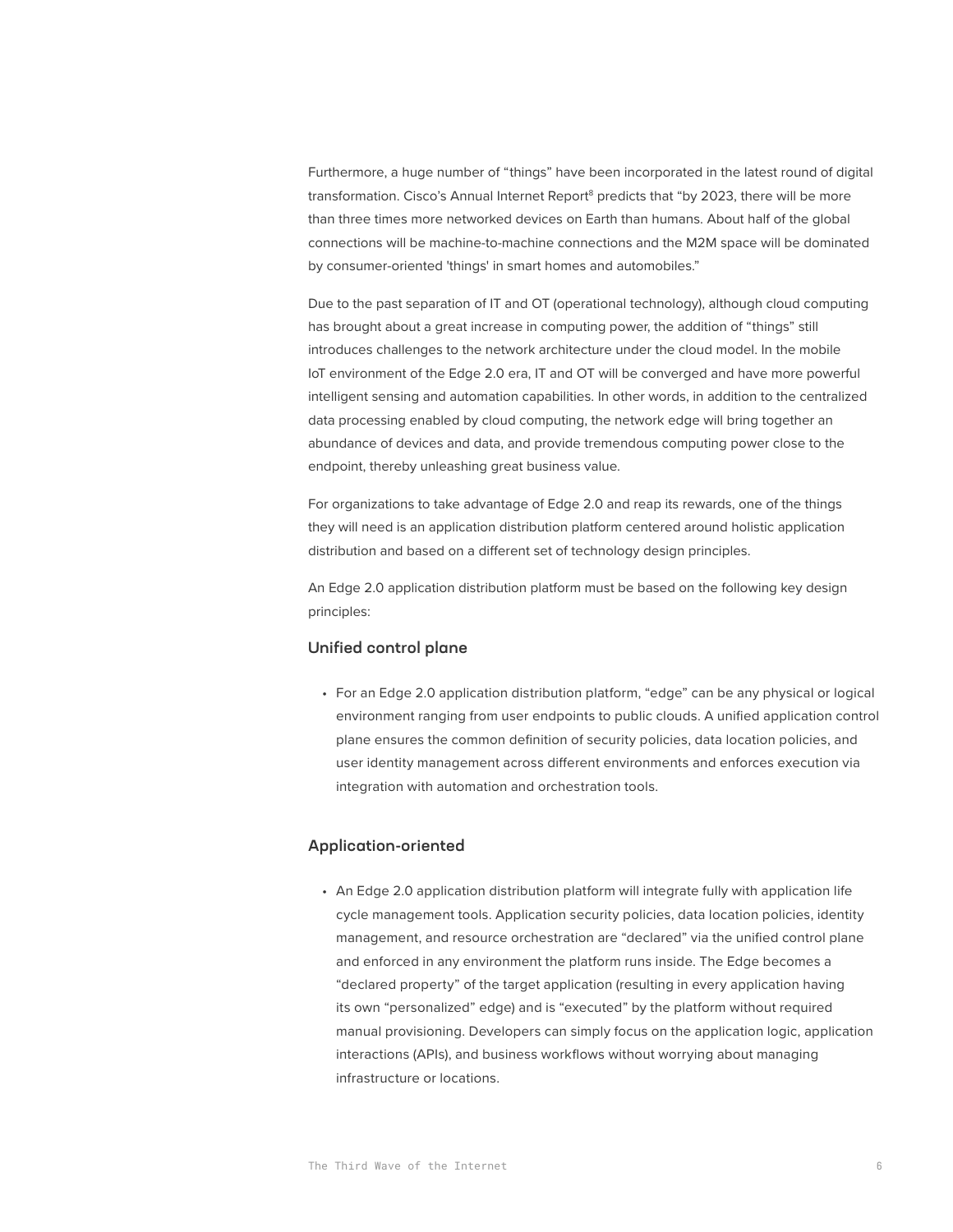Furthermore, a huge number of "things" have been incorporated in the latest round of digital transformation. Cisco's Annual Internet Report<sup>8</sup> predicts that "by 2023, there will be more than three times more networked devices on Earth than humans. About half of the global connections will be machine-to-machine connections and the M2M space will be dominated by consumer-oriented 'things' in smart homes and automobiles."

Due to the past separation of IT and OT (operational technology), although cloud computing has brought about a great increase in computing power, the addition of "things" still introduces challenges to the network architecture under the cloud model. In the mobile IoT environment of the Edge 2.0 era, IT and OT will be converged and have more powerful intelligent sensing and automation capabilities. In other words, in addition to the centralized data processing enabled by cloud computing, the network edge will bring together an abundance of devices and data, and provide tremendous computing power close to the endpoint, thereby unleashing great business value.

For organizations to take advantage of Edge 2.0 and reap its rewards, one of the things they will need is an application distribution platform centered around holistic application distribution and based on a different set of technology design principles.

An Edge 2.0 application distribution platform must be based on the following key design principles:

## Unified control plane

• For an Edge 2.0 application distribution platform, "edge" can be any physical or logical environment ranging from user endpoints to public clouds. A unified application control plane ensures the common definition of security policies, data location policies, and user identity management across different environments and enforces execution via integration with automation and orchestration tools.

## Application-oriented

• An Edge 2.0 application distribution platform will integrate fully with application life cycle management tools. Application security policies, data location policies, identity management, and resource orchestration are "declared" via the unified control plane and enforced in any environment the platform runs inside. The Edge becomes a "declared property" of the target application (resulting in every application having its own "personalized" edge) and is "executed" by the platform without required manual provisioning. Developers can simply focus on the application logic, application interactions (APIs), and business workflows without worrying about managing infrastructure or locations.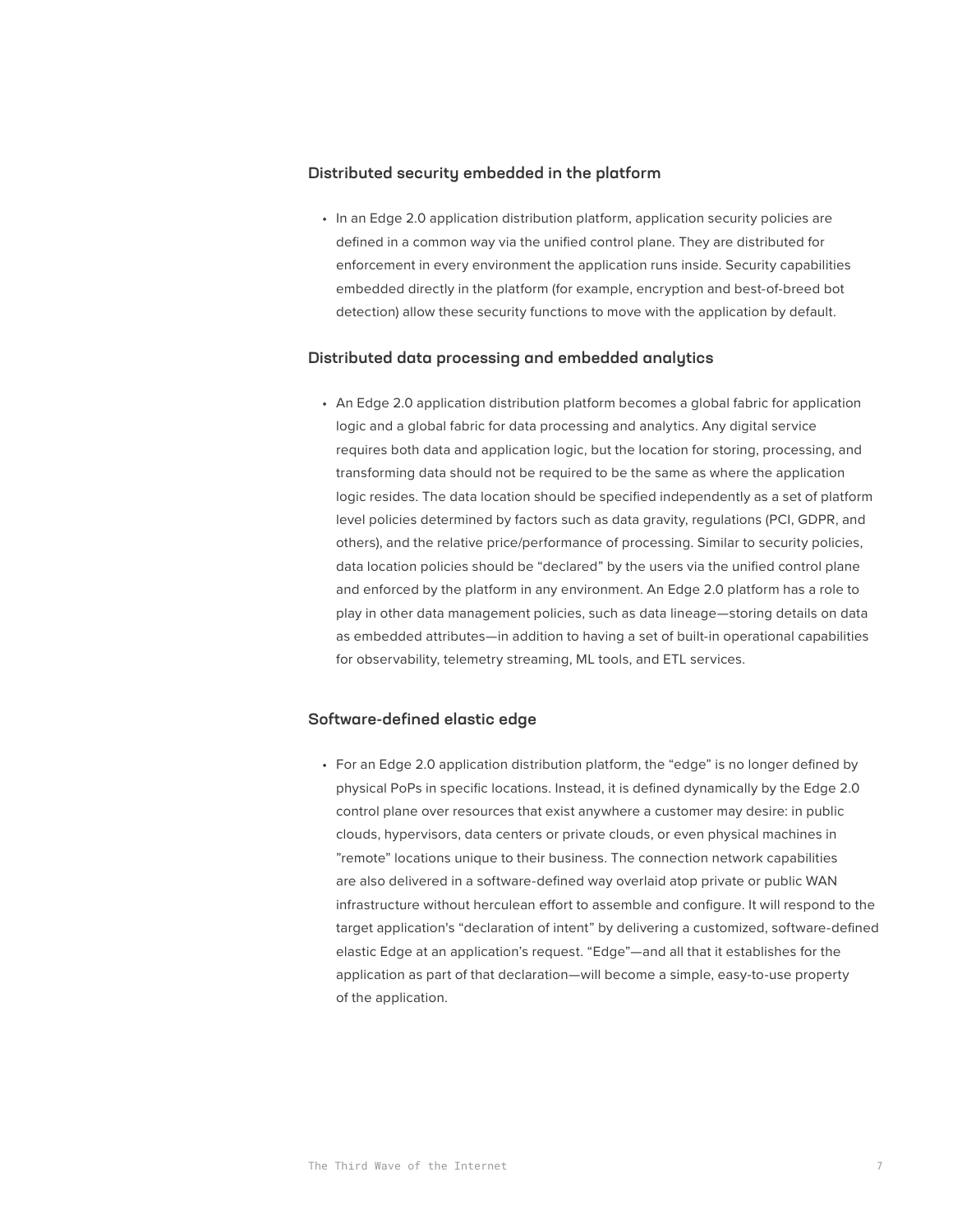## Distributed security embedded in the platform

• In an Edge 2.0 application distribution platform, application security policies are defined in a common way via the unified control plane. They are distributed for enforcement in every environment the application runs inside. Security capabilities embedded directly in the platform (for example, encryption and best-of-breed bot detection) allow these security functions to move with the application by default.

## Distributed data processing and embedded analytics

• An Edge 2.0 application distribution platform becomes a global fabric for application logic and a global fabric for data processing and analytics. Any digital service requires both data and application logic, but the location for storing, processing, and transforming data should not be required to be the same as where the application logic resides. The data location should be specified independently as a set of platform level policies determined by factors such as data gravity, regulations (PCI, GDPR, and others), and the relative price/performance of processing. Similar to security policies, data location policies should be "declared" by the users via the unified control plane and enforced by the platform in any environment. An Edge 2.0 platform has a role to play in other data management policies, such as data lineage—storing details on data as embedded attributes—in addition to having a set of built-in operational capabilities for observability, telemetry streaming, ML tools, and ETL services.

## Software-defined elastic edge

• For an Edge 2.0 application distribution platform, the "edge" is no longer defined by physical PoPs in specific locations. Instead, it is defined dynamically by the Edge 2.0 control plane over resources that exist anywhere a customer may desire: in public clouds, hypervisors, data centers or private clouds, or even physical machines in "remote" locations unique to their business. The connection network capabilities are also delivered in a software-defined way overlaid atop private or public WAN infrastructure without herculean effort to assemble and configure. It will respond to the target application's "declaration of intent" by delivering a customized, software-defined elastic Edge at an application's request. "Edge"—and all that it establishes for the application as part of that declaration—will become a simple, easy-to-use property of the application.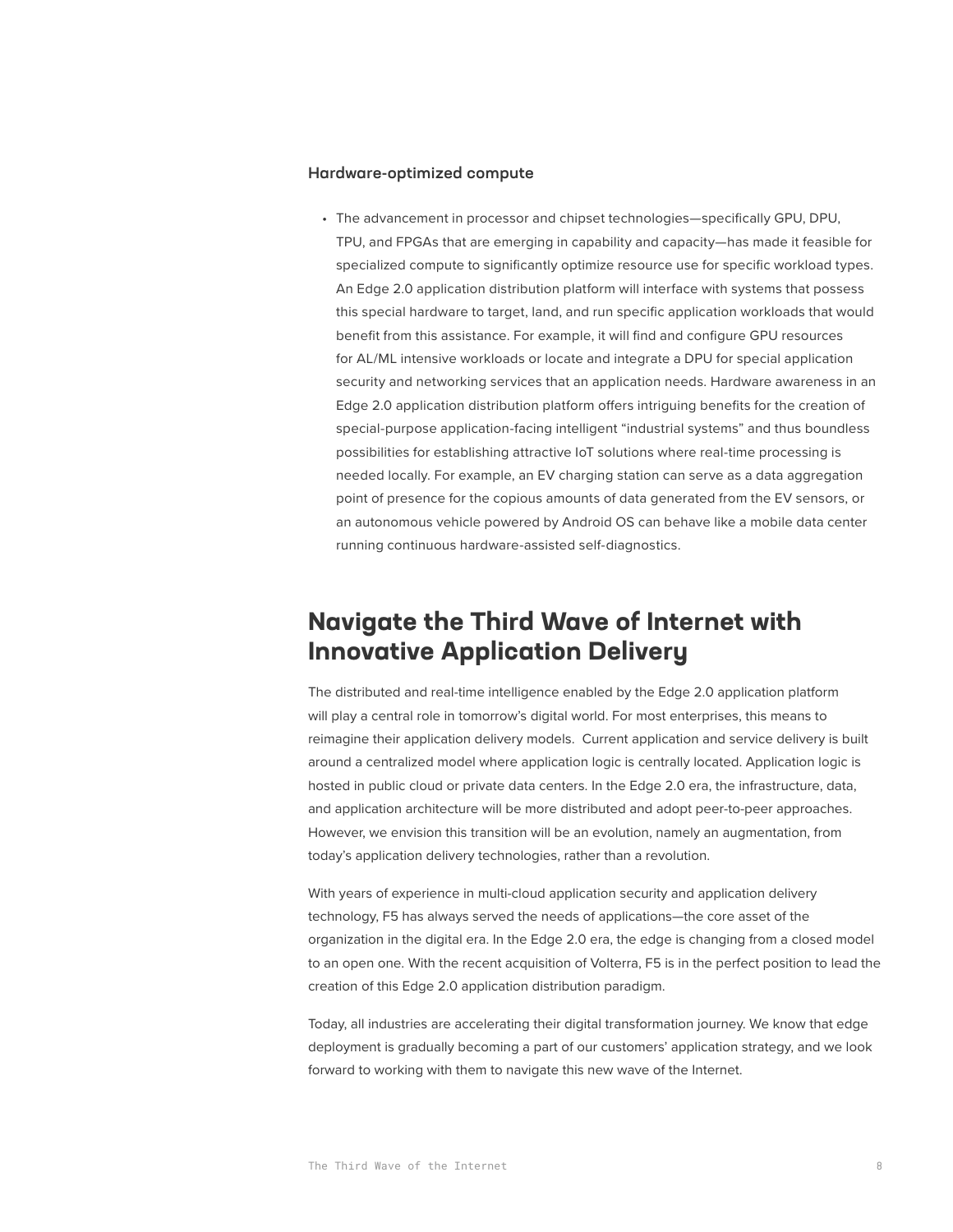## Hardware-optimized compute

• The advancement in processor and chipset technologies—specifically GPU, DPU, TPU, and FPGAs that are emerging in capability and capacity—has made it feasible for specialized compute to significantly optimize resource use for specific workload types. An Edge 2.0 application distribution platform will interface with systems that possess this special hardware to target, land, and run specific application workloads that would benefit from this assistance. For example, it will find and configure GPU resources for AL/ML intensive workloads or locate and integrate a DPU for special application security and networking services that an application needs. Hardware awareness in an Edge 2.0 application distribution platform offers intriguing benefits for the creation of special-purpose application-facing intelligent "industrial systems" and thus boundless possibilities for establishing attractive IoT solutions where real-time processing is needed locally. For example, an EV charging station can serve as a data aggregation point of presence for the copious amounts of data generated from the EV sensors, or an autonomous vehicle powered by Android OS can behave like a mobile data center running continuous hardware-assisted self-diagnostics.

# **Navigate the Third Wave of Internet with Innovative Application Delivery**

The distributed and real-time intelligence enabled by the Edge 2.0 application platform will play a central role in tomorrow's digital world. For most enterprises, this means to reimagine their application delivery models. Current application and service delivery is built around a centralized model where application logic is centrally located. Application logic is hosted in public cloud or private data centers. In the Edge 2.0 era, the infrastructure, data, and application architecture will be more distributed and adopt peer-to-peer approaches. However, we envision this transition will be an evolution, namely an augmentation, from today's application delivery technologies, rather than a revolution.

With years of experience in multi-cloud application security and application delivery technology, F5 has always served the needs of applications—the core asset of the organization in the digital era. In the Edge 2.0 era, the edge is changing from a closed model to an open one. With the recent acquisition of Volterra, F5 is in the perfect position to lead the creation of this Edge 2.0 application distribution paradigm.

Today, all industries are accelerating their digital transformation journey. We know that edge deployment is gradually becoming a part of our customers' application strategy, and we look forward to working with them to navigate this new wave of the Internet.